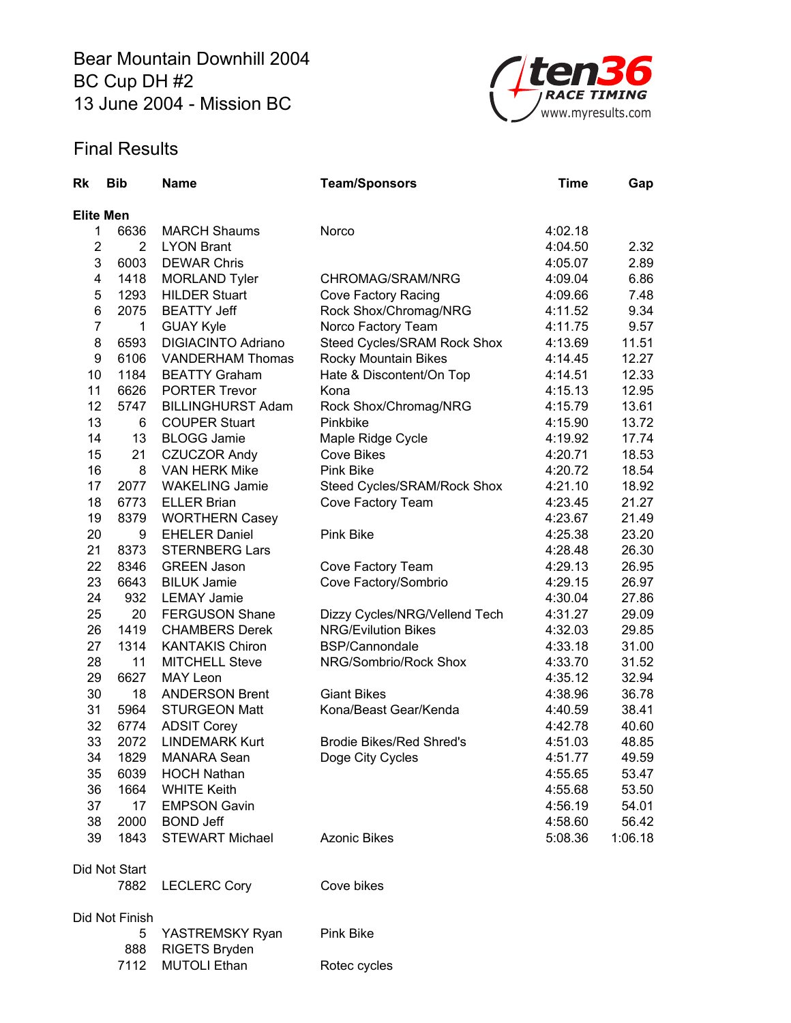Bear Mountain Downhill 2004 BC Cup DH #2 13 June 2004 - Mission BC



## Final Results

| <b>Rk</b>        | <b>Bib</b>     | <b>Name</b>                      | <b>Team/Sponsors</b>            | <b>Time</b> | Gap     |  |  |
|------------------|----------------|----------------------------------|---------------------------------|-------------|---------|--|--|
| <b>Elite Men</b> |                |                                  |                                 |             |         |  |  |
| 1                | 6636           | <b>MARCH Shaums</b>              | Norco                           | 4:02.18     |         |  |  |
| $\overline{c}$   | 2              | <b>LYON Brant</b>                |                                 | 4:04.50     | 2.32    |  |  |
| 3                | 6003           | <b>DEWAR Chris</b>               |                                 | 4:05.07     | 2.89    |  |  |
| 4                | 1418           | <b>MORLAND Tyler</b>             | CHROMAG/SRAM/NRG                | 4:09.04     | 6.86    |  |  |
| 5                | 1293           | <b>HILDER Stuart</b>             | Cove Factory Racing             | 4:09.66     | 7.48    |  |  |
| 6                | 2075           | <b>BEATTY Jeff</b>               | Rock Shox/Chromag/NRG           | 4:11.52     | 9.34    |  |  |
| $\overline{7}$   | 1              | <b>GUAY Kyle</b>                 | Norco Factory Team              | 4:11.75     | 9.57    |  |  |
| 8                | 6593           | <b>DIGIACINTO Adriano</b>        | Steed Cycles/SRAM Rock Shox     | 4:13.69     | 11.51   |  |  |
| 9                | 6106           | <b>VANDERHAM Thomas</b>          | Rocky Mountain Bikes            | 4:14.45     | 12.27   |  |  |
| 10               | 1184           | <b>BEATTY Graham</b>             | Hate & Discontent/On Top        | 4:14.51     | 12.33   |  |  |
| 11               | 6626           | <b>PORTER Trevor</b>             | Kona                            | 4:15.13     | 12.95   |  |  |
| 12               | 5747           | <b>BILLINGHURST Adam</b>         | Rock Shox/Chromag/NRG           | 4:15.79     | 13.61   |  |  |
| 13               | 6              | <b>COUPER Stuart</b>             | Pinkbike                        | 4:15.90     | 13.72   |  |  |
| 14               | 13             | <b>BLOGG Jamie</b>               | Maple Ridge Cycle               | 4:19.92     | 17.74   |  |  |
| 15               | 21             | <b>CZUCZOR Andy</b>              | <b>Cove Bikes</b>               | 4:20.71     | 18.53   |  |  |
| 16               | 8              | <b>VAN HERK Mike</b>             | <b>Pink Bike</b>                | 4:20.72     | 18.54   |  |  |
| 17               | 2077           | <b>WAKELING Jamie</b>            | Steed Cycles/SRAM/Rock Shox     | 4:21.10     | 18.92   |  |  |
| 18               | 6773           | <b>ELLER Brian</b>               | Cove Factory Team               | 4:23.45     | 21.27   |  |  |
| 19               | 8379           | <b>WORTHERN Casey</b>            |                                 | 4:23.67     | 21.49   |  |  |
| 20               | 9              | <b>EHELER Daniel</b>             | <b>Pink Bike</b>                | 4:25.38     | 23.20   |  |  |
| 21               | 8373           | <b>STERNBERG Lars</b>            |                                 | 4:28.48     | 26.30   |  |  |
| 22               | 8346           | <b>GREEN Jason</b>               | Cove Factory Team               | 4:29.13     | 26.95   |  |  |
| 23               | 6643           | <b>BILUK Jamie</b>               | Cove Factory/Sombrio            | 4:29.15     | 26.97   |  |  |
| 24               | 932            | <b>LEMAY Jamie</b>               |                                 | 4:30.04     | 27.86   |  |  |
| 25               | 20             | <b>FERGUSON Shane</b>            | Dizzy Cycles/NRG/Vellend Tech   | 4:31.27     | 29.09   |  |  |
| 26               | 1419           | <b>CHAMBERS Derek</b>            | <b>NRG/Evilution Bikes</b>      | 4:32.03     | 29.85   |  |  |
| 27               | 1314           | <b>KANTAKIS Chiron</b>           | BSP/Cannondale                  | 4:33.18     | 31.00   |  |  |
| 28               | 11             | <b>MITCHELL Steve</b>            | NRG/Sombrio/Rock Shox           | 4:33.70     | 31.52   |  |  |
| 29               | 6627           | <b>MAY Leon</b>                  |                                 | 4:35.12     | 32.94   |  |  |
| 30               | 18             | <b>ANDERSON Brent</b>            | <b>Giant Bikes</b>              | 4:38.96     | 36.78   |  |  |
| 31               | 5964           | <b>STURGEON Matt</b>             | Kona/Beast Gear/Kenda           | 4:40.59     | 38.41   |  |  |
| 32               | 6774           | <b>ADSIT Corey</b>               |                                 | 4:42.78     | 40.60   |  |  |
| 33               | 2072           | <b>LINDEMARK Kurt</b>            | <b>Brodie Bikes/Red Shred's</b> | 4:51.03     | 48.85   |  |  |
| 34               | 1829           | MANARA Sean                      | Doge City Cycles                | 4:51.77     | 49.59   |  |  |
| 35               | 6039           | <b>HOCH Nathan</b>               |                                 | 4:55.65     | 53.47   |  |  |
| 36               | 1664           | <b>WHITE Keith</b>               |                                 | 4:55.68     | 53.50   |  |  |
| 37               | 17             | <b>EMPSON Gavin</b>              |                                 | 4:56.19     | 54.01   |  |  |
| 38               | 2000           | <b>BOND Jeff</b>                 |                                 | 4:58.60     | 56.42   |  |  |
| 39               | 1843           | <b>STEWART Michael</b>           | <b>Azonic Bikes</b>             | 5:08.36     | 1:06.18 |  |  |
|                  | Did Not Start  |                                  |                                 |             |         |  |  |
|                  | 7882           | <b>LECLERC Cory</b>              | Cove bikes                      |             |         |  |  |
|                  | Did Not Finish |                                  |                                 |             |         |  |  |
|                  | 5<br>888       | YASTREMSKY Ryan<br>RIGETS Bryden | Pink Bike                       |             |         |  |  |
|                  | 7112           | <b>MUTOLI Ethan</b>              | Rotec cycles                    |             |         |  |  |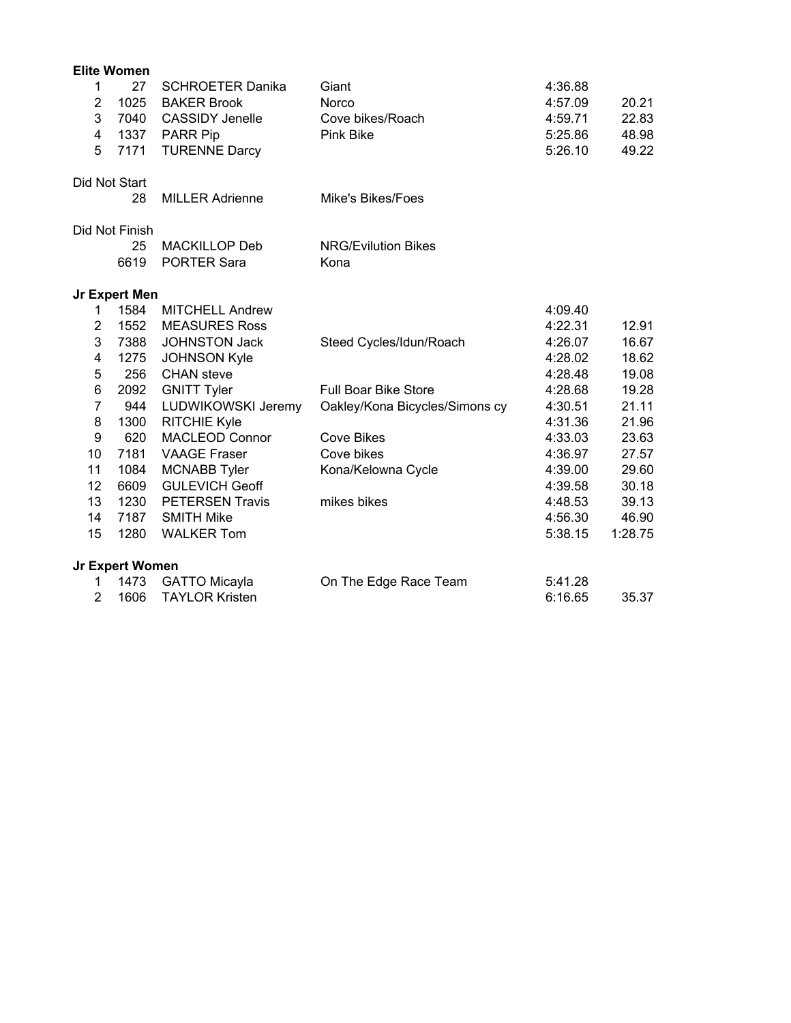|                         | <b>Elite Women</b> |                         |                                |         |         |
|-------------------------|--------------------|-------------------------|--------------------------------|---------|---------|
| 1                       | 27                 | <b>SCHROETER Danika</b> | Giant                          | 4:36.88 |         |
| $\overline{2}$          | 1025               | <b>BAKER Brook</b>      | Norco                          | 4:57.09 | 20.21   |
| 3                       | 7040               | <b>CASSIDY Jenelle</b>  | Cove bikes/Roach               | 4:59.71 | 22.83   |
| $\overline{\mathbf{4}}$ | 1337               | <b>PARR Pip</b>         | <b>Pink Bike</b>               | 5:25.86 | 48.98   |
| 5                       | 7171               | <b>TURENNE Darcy</b>    |                                | 5:26.10 | 49.22   |
|                         | Did Not Start      |                         |                                |         |         |
|                         | 28                 | <b>MILLER Adrienne</b>  | Mike's Bikes/Foes              |         |         |
|                         | Did Not Finish     |                         |                                |         |         |
|                         | 25                 | <b>MACKILLOP Deb</b>    | <b>NRG/Evilution Bikes</b>     |         |         |
|                         | 6619               | <b>PORTER Sara</b>      | Kona                           |         |         |
|                         | Jr Expert Men      |                         |                                |         |         |
| 1                       | 1584               | <b>MITCHELL Andrew</b>  |                                | 4:09.40 |         |
| $\overline{c}$          | 1552               | <b>MEASURES Ross</b>    |                                | 4:22.31 | 12.91   |
| 3                       | 7388               | JOHNSTON Jack           | Steed Cycles/Idun/Roach        | 4:26.07 | 16.67   |
| 4                       | 1275               | <b>JOHNSON Kyle</b>     |                                | 4:28.02 | 18.62   |
| 5                       | 256                | <b>CHAN</b> steve       |                                | 4:28.48 | 19.08   |
| 6                       | 2092               | <b>GNITT Tyler</b>      | <b>Full Boar Bike Store</b>    | 4:28.68 | 19.28   |
| $\overline{7}$          | 944                | LUDWIKOWSKI Jeremy      | Oakley/Kona Bicycles/Simons cy | 4:30.51 | 21.11   |
| 8                       | 1300               | <b>RITCHIE Kyle</b>     |                                | 4:31.36 | 21.96   |
| $\boldsymbol{9}$        | 620                | <b>MACLEOD Connor</b>   | <b>Cove Bikes</b>              | 4:33.03 | 23.63   |
| 10                      | 7181               | <b>VAAGE Fraser</b>     | Cove bikes                     | 4:36.97 | 27.57   |
| 11                      | 1084               | <b>MCNABB Tyler</b>     | Kona/Kelowna Cycle             | 4:39.00 | 29.60   |
| 12                      | 6609               | <b>GULEVICH Geoff</b>   |                                | 4:39.58 | 30.18   |
| 13                      | 1230               | <b>PETERSEN Travis</b>  | mikes bikes                    | 4:48.53 | 39.13   |
| 14                      | 7187               | <b>SMITH Mike</b>       |                                | 4:56.30 | 46.90   |
| 15                      | 1280               | <b>WALKER Tom</b>       |                                | 5:38.15 | 1:28.75 |
|                         | Jr Expert Women    |                         |                                |         |         |
| 1                       | 1473               | <b>GATTO Micayla</b>    | On The Edge Race Team          | 5:41.28 |         |
| $\overline{2}$          | 1606               | <b>TAYLOR Kristen</b>   |                                | 6:16.65 | 35.37   |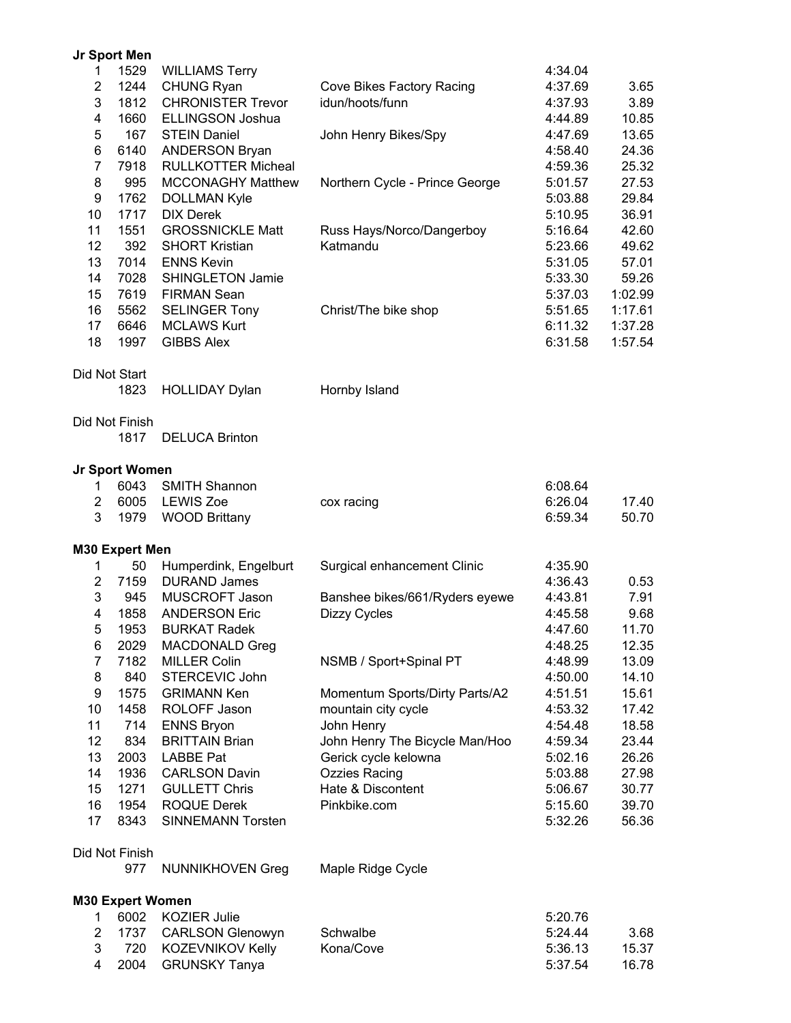|                | Jr Sport Men            |                           |                                |         |         |
|----------------|-------------------------|---------------------------|--------------------------------|---------|---------|
| 1.             | 1529                    | <b>WILLIAMS Terry</b>     |                                | 4:34.04 |         |
| $\overline{c}$ | 1244                    | <b>CHUNG Ryan</b>         | Cove Bikes Factory Racing      | 4:37.69 | 3.65    |
| 3              | 1812                    | <b>CHRONISTER Trevor</b>  | idun/hoots/funn                | 4:37.93 | 3.89    |
| 4              | 1660                    | <b>ELLINGSON Joshua</b>   |                                | 4:44.89 | 10.85   |
| 5              | 167                     | <b>STEIN Daniel</b>       | John Henry Bikes/Spy           | 4:47.69 | 13.65   |
| 6              | 6140                    | <b>ANDERSON Bryan</b>     |                                | 4:58.40 | 24.36   |
| $\overline{7}$ | 7918                    | <b>RULLKOTTER Micheal</b> |                                | 4:59.36 | 25.32   |
| 8              | 995                     | <b>MCCONAGHY Matthew</b>  |                                | 5:01.57 | 27.53   |
|                |                         |                           | Northern Cycle - Prince George |         |         |
| 9              | 1762                    | <b>DOLLMAN Kyle</b>       |                                | 5:03.88 | 29.84   |
| 10             | 1717                    | <b>DIX Derek</b>          |                                | 5:10.95 | 36.91   |
| 11             | 1551                    | <b>GROSSNICKLE Matt</b>   | Russ Hays/Norco/Dangerboy      | 5:16.64 | 42.60   |
| 12             | 392                     | <b>SHORT Kristian</b>     | Katmandu                       | 5:23.66 | 49.62   |
| 13             | 7014                    | <b>ENNS Kevin</b>         |                                | 5:31.05 | 57.01   |
| 14             | 7028                    | <b>SHINGLETON Jamie</b>   |                                | 5:33.30 | 59.26   |
| 15             | 7619                    | <b>FIRMAN Sean</b>        |                                | 5:37.03 | 1:02.99 |
| 16             | 5562                    | <b>SELINGER Tony</b>      | Christ/The bike shop           | 5:51.65 | 1:17.61 |
| 17             | 6646                    | <b>MCLAWS Kurt</b>        |                                | 6:11.32 | 1:37.28 |
| 18             | 1997                    | <b>GIBBS Alex</b>         |                                | 6:31.58 | 1:57.54 |
|                |                         |                           |                                |         |         |
|                | Did Not Start<br>1823   |                           | Hornby Island                  |         |         |
|                |                         | <b>HOLLIDAY Dylan</b>     |                                |         |         |
|                | Did Not Finish          |                           |                                |         |         |
|                | 1817                    | <b>DELUCA Brinton</b>     |                                |         |         |
|                |                         |                           |                                |         |         |
|                | Jr Sport Women          |                           |                                |         |         |
| 1              | 6043                    | <b>SMITH Shannon</b>      |                                | 6:08.64 |         |
| $\overline{2}$ | 6005                    | <b>LEWIS Zoe</b>          | cox racing                     | 6:26.04 | 17.40   |
| 3              | 1979                    | <b>WOOD Brittany</b>      |                                | 6:59.34 | 50.70   |
|                | <b>M30 Expert Men</b>   |                           |                                |         |         |
| 1              | 50                      | Humperdink, Engelburt     | Surgical enhancement Clinic    | 4:35.90 |         |
| $\overline{2}$ | 7159                    | <b>DURAND James</b>       |                                | 4:36.43 | 0.53    |
| 3              | 945                     | MUSCROFT Jason            |                                | 4:43.81 | 7.91    |
| 4              | 1858                    | <b>ANDERSON Eric</b>      | Banshee bikes/661/Ryders eyewe |         |         |
|                |                         |                           | <b>Dizzy Cycles</b>            | 4:45.58 | 9.68    |
| 5              | 1953                    | <b>BURKAT Radek</b>       |                                | 4:47.60 | 11.70   |
| 6              | 2029                    | MACDONALD Greg            |                                | 4:48.25 | 12.35   |
| $\overline{7}$ | 7182                    | <b>MILLER Colin</b>       | NSMB / Sport+Spinal PT         | 4:48.99 | 13.09   |
| 8              | 840                     | STERCEVIC John            |                                | 4:50.00 | 14.10   |
| 9              | 1575                    | <b>GRIMANN Ken</b>        | Momentum Sports/Dirty Parts/A2 | 4:51.51 | 15.61   |
| 10             | 1458                    | ROLOFF Jason              | mountain city cycle            | 4:53.32 | 17.42   |
| 11             | 714                     | <b>ENNS Bryon</b>         | John Henry                     | 4:54.48 | 18.58   |
| 12             | 834                     | <b>BRITTAIN Brian</b>     | John Henry The Bicycle Man/Hoo | 4:59.34 | 23.44   |
| 13             | 2003                    | <b>LABBE Pat</b>          | Gerick cycle kelowna           | 5:02.16 | 26.26   |
| 14             | 1936                    | <b>CARLSON Davin</b>      | <b>Ozzies Racing</b>           | 5:03.88 | 27.98   |
| 15             | 1271                    | <b>GULLETT Chris</b>      | Hate & Discontent              | 5:06.67 | 30.77   |
| 16             | 1954                    | <b>ROQUE Derek</b>        | Pinkbike.com                   | 5:15.60 | 39.70   |
| 17             | 8343                    | <b>SINNEMANN Torsten</b>  |                                | 5:32.26 | 56.36   |
|                |                         |                           |                                |         |         |
|                | Did Not Finish          |                           |                                |         |         |
|                | 977                     | <b>NUNNIKHOVEN Greg</b>   | Maple Ridge Cycle              |         |         |
|                | <b>M30 Expert Women</b> |                           |                                |         |         |
| 1              | 6002                    | <b>KOZIER Julie</b>       |                                | 5:20.76 |         |
| $\overline{2}$ | 1737                    | <b>CARLSON Glenowyn</b>   | Schwalbe                       | 5:24.44 | 3.68    |
| 3              | 720                     | KOZEVNIKOV Kelly          | Kona/Cove                      | 5:36.13 | 15.37   |
| 4              | 2004                    | <b>GRUNSKY Tanya</b>      |                                | 5:37.54 | 16.78   |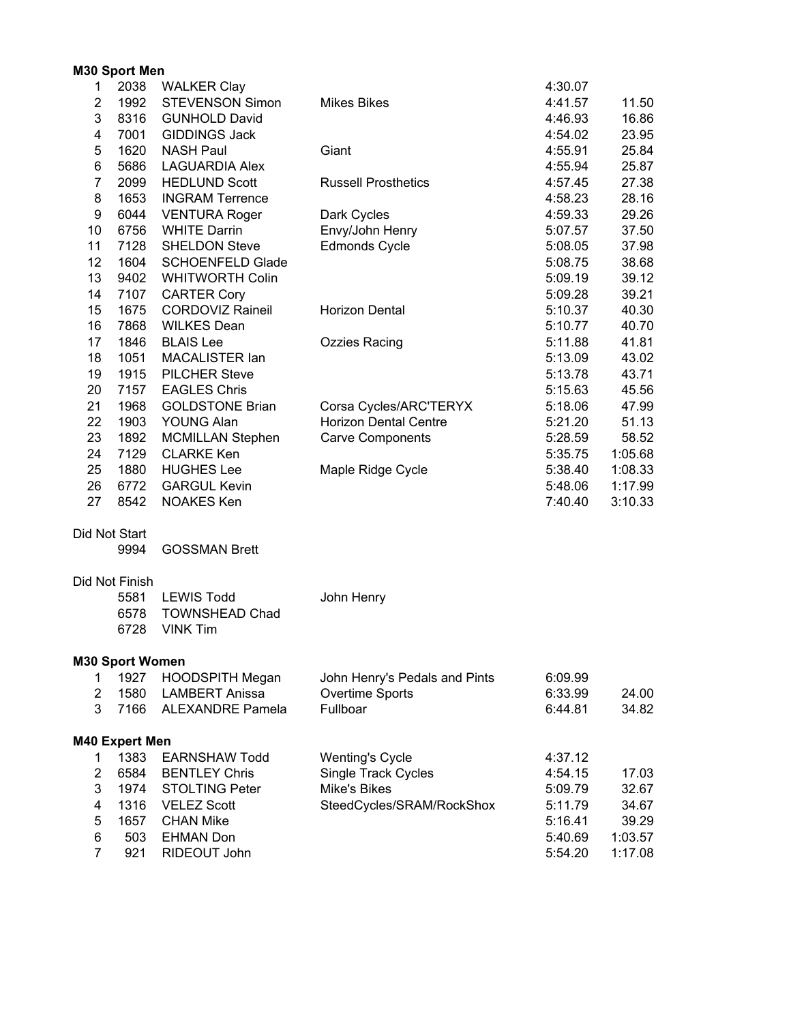|                         | M30 Sport Men                  |                         |                               |         |         |
|-------------------------|--------------------------------|-------------------------|-------------------------------|---------|---------|
| 1                       | 2038                           | <b>WALKER Clay</b>      |                               | 4:30.07 |         |
| $\overline{\mathbf{c}}$ | 1992                           | <b>STEVENSON Simon</b>  | <b>Mikes Bikes</b>            | 4:41.57 | 11.50   |
| 3                       | 8316                           | <b>GUNHOLD David</b>    |                               | 4:46.93 | 16.86   |
| 4                       | 7001                           | <b>GIDDINGS Jack</b>    |                               | 4:54.02 | 23.95   |
| 5                       | 1620                           | <b>NASH Paul</b>        | Giant                         | 4:55.91 | 25.84   |
| 6                       | 5686                           | <b>LAGUARDIA Alex</b>   |                               | 4:55.94 | 25.87   |
| $\overline{7}$          | 2099                           | <b>HEDLUND Scott</b>    | <b>Russell Prosthetics</b>    | 4:57.45 | 27.38   |
| 8                       | 1653                           | <b>INGRAM Terrence</b>  |                               | 4:58.23 | 28.16   |
| 9                       | 6044                           | <b>VENTURA Roger</b>    | Dark Cycles                   | 4:59.33 | 29.26   |
| 10                      | 6756                           | <b>WHITE Darrin</b>     | Envy/John Henry               | 5:07.57 | 37.50   |
| 11                      | 7128                           | <b>SHELDON Steve</b>    | <b>Edmonds Cycle</b>          | 5:08.05 | 37.98   |
| 12                      | 1604                           | <b>SCHOENFELD Glade</b> |                               | 5:08.75 | 38.68   |
| 13                      | 9402                           | <b>WHITWORTH Colin</b>  |                               | 5:09.19 | 39.12   |
| 14                      | 7107                           | <b>CARTER Cory</b>      |                               | 5:09.28 | 39.21   |
| 15                      | 1675                           | <b>CORDOVIZ Raineil</b> | Horizon Dental                | 5:10.37 | 40.30   |
| 16                      | 7868                           | <b>WILKES Dean</b>      |                               | 5:10.77 | 40.70   |
| 17                      | 1846                           | <b>BLAIS Lee</b>        | <b>Ozzies Racing</b>          | 5:11.88 | 41.81   |
| 18                      | 1051                           | MACALISTER Ian          |                               | 5:13.09 | 43.02   |
| 19                      | 1915                           | <b>PILCHER Steve</b>    |                               | 5:13.78 | 43.71   |
| 20                      | 7157                           | <b>EAGLES Chris</b>     |                               | 5:15.63 | 45.56   |
| 21                      | 1968                           | <b>GOLDSTONE Brian</b>  | Corsa Cycles/ARC'TERYX        | 5:18.06 | 47.99   |
| 22                      | 1903                           | YOUNG Alan              | <b>Horizon Dental Centre</b>  | 5:21.20 | 51.13   |
| 23                      | 1892                           | <b>MCMILLAN Stephen</b> | <b>Carve Components</b>       | 5:28.59 | 58.52   |
| 24                      | 7129                           | <b>CLARKE Ken</b>       |                               | 5:35.75 | 1:05.68 |
| 25                      | 1880                           | <b>HUGHES Lee</b>       | Maple Ridge Cycle             | 5:38.40 | 1:08.33 |
| 26                      | 6772                           | <b>GARGUL Kevin</b>     |                               | 5:48.06 | 1:17.99 |
| 27                      | 8542                           | <b>NOAKES Ken</b>       |                               | 7:40.40 | 3:10.33 |
|                         | Did Not Start                  |                         |                               |         |         |
|                         | 9994                           | <b>GOSSMAN Brett</b>    |                               |         |         |
|                         |                                |                         |                               |         |         |
|                         | Did Not Finish                 |                         |                               |         |         |
|                         | 5581                           | <b>LEWIS Todd</b>       | John Henry                    |         |         |
|                         | 6578                           | <b>TOWNSHEAD Chad</b>   |                               |         |         |
|                         | 6728                           | <b>VINK Tim</b>         |                               |         |         |
|                         |                                |                         |                               |         |         |
| 1.                      | <b>M30 Sport Women</b><br>1927 | <b>HOODSPITH Megan</b>  | John Henry's Pedals and Pints | 6:09.99 |         |
| $\mathbf{2}^{\prime}$   | 1580                           | <b>LAMBERT Anissa</b>   | Overtime Sports               | 6:33.99 | 24.00   |
| 3                       |                                |                         |                               |         | 34.82   |
|                         |                                | 7166 ALEXANDRE Pamela   | Fullboar                      | 6:44.81 |         |
|                         | <b>M40 Expert Men</b>          |                         |                               |         |         |
| 1                       | 1383                           | <b>EARNSHAW Todd</b>    | <b>Wenting's Cycle</b>        | 4:37.12 |         |
| 2                       | 6584                           | <b>BENTLEY Chris</b>    | <b>Single Track Cycles</b>    | 4:54.15 | 17.03   |
| 3                       | 1974                           | <b>STOLTING Peter</b>   | <b>Mike's Bikes</b>           | 5:09.79 | 32.67   |
| $\overline{\mathbf{4}}$ | 1316                           | <b>VELEZ Scott</b>      | SteedCycles/SRAM/RockShox     | 5:11.79 | 34.67   |
| 5                       | 1657                           | <b>CHAN Mike</b>        |                               | 5:16.41 | 39.29   |
| 6                       | 503                            | <b>EHMAN Don</b>        |                               | 5:40.69 | 1:03.57 |
| $\overline{7}$          | 921                            | RIDEOUT John            |                               | 5:54.20 | 1:17.08 |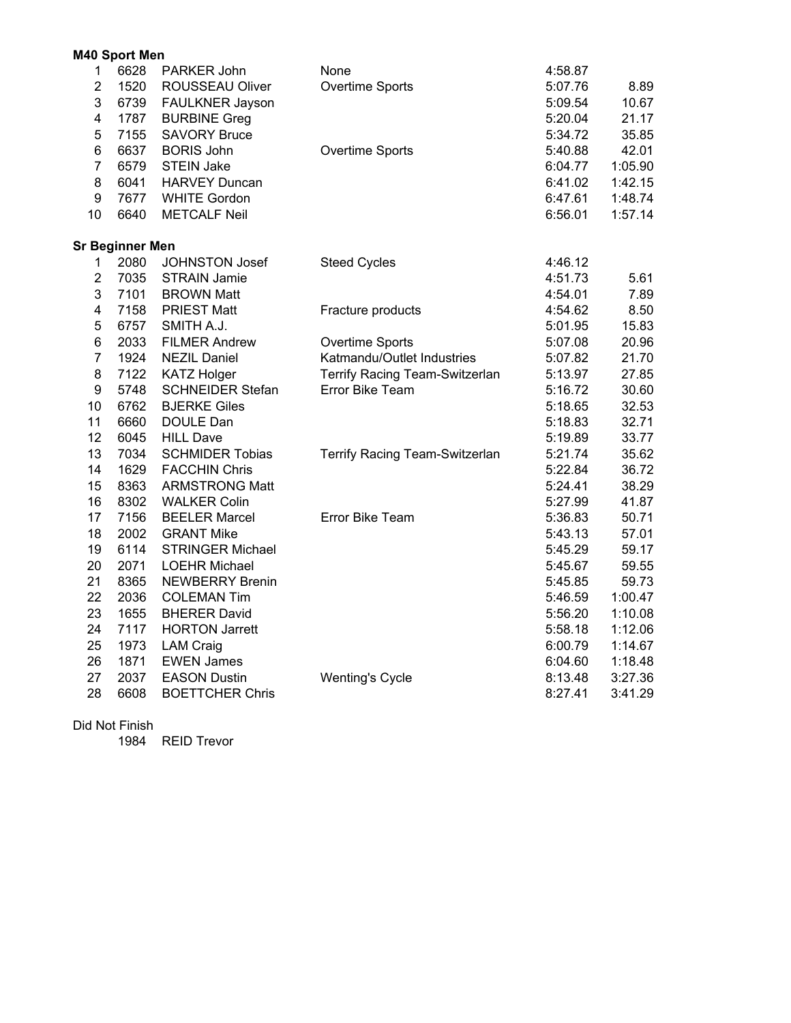|                | M40 Sport Men          |                         |                                |         |         |
|----------------|------------------------|-------------------------|--------------------------------|---------|---------|
| $\mathbf{1}$   | 6628                   | PARKER John             | None                           | 4:58.87 |         |
| $\overline{2}$ | 1520                   | ROUSSEAU Oliver         | Overtime Sports                | 5:07.76 | 8.89    |
| 3              | 6739                   | FAULKNER Jayson         |                                | 5:09.54 | 10.67   |
| 4              | 1787                   | <b>BURBINE Greg</b>     |                                | 5:20.04 | 21.17   |
| 5              | 7155                   | <b>SAVORY Bruce</b>     |                                | 5:34.72 | 35.85   |
| 6              | 6637                   | <b>BORIS John</b>       | Overtime Sports                | 5:40.88 | 42.01   |
| $\overline{7}$ | 6579                   | <b>STEIN Jake</b>       |                                | 6:04.77 | 1:05.90 |
| 8              | 6041                   | <b>HARVEY Duncan</b>    |                                | 6:41.02 | 1:42.15 |
| 9              | 7677                   | <b>WHITE Gordon</b>     |                                | 6:47.61 | 1:48.74 |
| 10             | 6640                   | <b>METCALF Neil</b>     |                                | 6:56.01 | 1:57.14 |
|                | <b>Sr Beginner Men</b> |                         |                                |         |         |
| $\mathbf 1$    | 2080                   | JOHNSTON Josef          | <b>Steed Cycles</b>            | 4:46.12 |         |
| $\overline{2}$ | 7035                   | <b>STRAIN Jamie</b>     |                                | 4:51.73 | 5.61    |
| 3              | 7101                   | <b>BROWN Matt</b>       |                                | 4:54.01 | 7.89    |
| 4              | 7158                   | <b>PRIEST Matt</b>      | Fracture products              | 4:54.62 | 8.50    |
| 5              | 6757                   | SMITH A.J.              |                                | 5:01.95 | 15.83   |
| 6              | 2033                   | <b>FILMER Andrew</b>    | Overtime Sports                | 5:07.08 | 20.96   |
| $\overline{7}$ | 1924                   | <b>NEZIL Daniel</b>     | Katmandu/Outlet Industries     | 5:07.82 | 21.70   |
| 8              | 7122                   | <b>KATZ Holger</b>      | Terrify Racing Team-Switzerlan | 5:13.97 | 27.85   |
| 9              | 5748                   | <b>SCHNEIDER Stefan</b> | Error Bike Team                | 5:16.72 | 30.60   |
| 10             | 6762                   | <b>BJERKE Giles</b>     |                                | 5:18.65 | 32.53   |
| 11             | 6660                   | DOULE Dan               |                                | 5:18.83 | 32.71   |
| 12             | 6045                   | <b>HILL Dave</b>        |                                | 5:19.89 | 33.77   |
| 13             | 7034                   | <b>SCHMIDER Tobias</b>  | Terrify Racing Team-Switzerlan | 5:21.74 | 35.62   |
| 14             | 1629                   | <b>FACCHIN Chris</b>    |                                | 5:22.84 | 36.72   |
| 15             | 8363                   | <b>ARMSTRONG Matt</b>   |                                | 5:24.41 | 38.29   |
| 16             | 8302                   | <b>WALKER Colin</b>     |                                | 5:27.99 | 41.87   |
| 17             | 7156                   | <b>BEELER Marcel</b>    | Error Bike Team                | 5:36.83 | 50.71   |
| 18             | 2002                   | <b>GRANT Mike</b>       |                                | 5:43.13 | 57.01   |
| 19             | 6114                   | <b>STRINGER Michael</b> |                                | 5:45.29 | 59.17   |
| 20             | 2071                   | <b>LOEHR Michael</b>    |                                | 5:45.67 | 59.55   |
| 21             | 8365                   | <b>NEWBERRY Brenin</b>  |                                | 5:45.85 | 59.73   |
| 22             | 2036                   | <b>COLEMAN Tim</b>      |                                | 5:46.59 | 1:00.47 |
| 23             | 1655                   | <b>BHERER David</b>     |                                | 5:56.20 | 1:10.08 |
| 24             | 7117                   | <b>HORTON Jarrett</b>   |                                | 5:58.18 | 1:12.06 |
| 25             | 1973                   | <b>LAM Craig</b>        |                                | 6:00.79 | 1:14.67 |
| 26             | 1871                   | <b>EWEN James</b>       |                                | 6:04.60 | 1:18.48 |
| 27             | 2037                   | <b>EASON Dustin</b>     | <b>Wenting's Cycle</b>         | 8:13.48 | 3:27.36 |
| 28             | 6608                   | <b>BOETTCHER Chris</b>  |                                | 8:27.41 | 3:41.29 |

Did Not Finish

1984 REID Trevor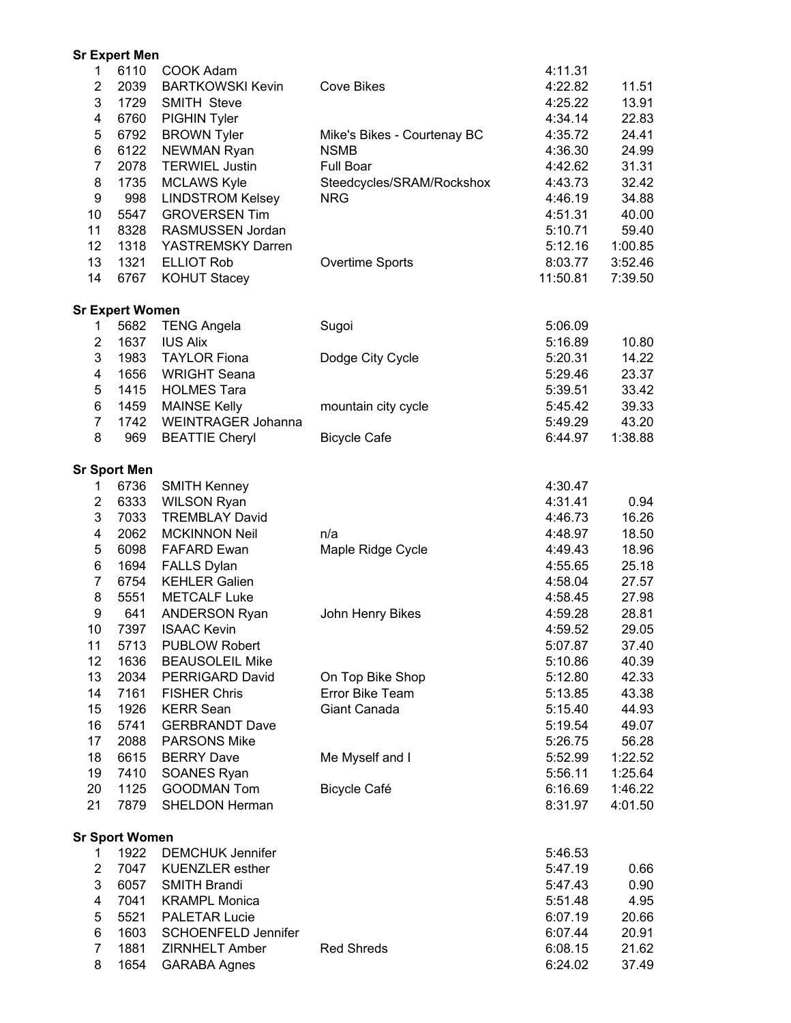|                         | <b>Sr Expert Men</b>          |                                   |                             |                    |                    |
|-------------------------|-------------------------------|-----------------------------------|-----------------------------|--------------------|--------------------|
| 1                       | 6110                          | COOK Adam                         |                             | 4:11.31            |                    |
| 2                       | 2039                          | <b>BARTKOWSKI Kevin</b>           | <b>Cove Bikes</b>           | 4:22.82            | 11.51              |
| 3                       | 1729                          | <b>SMITH Steve</b>                |                             | 4:25.22            | 13.91              |
| 4                       | 6760                          | PIGHIN Tyler                      |                             | 4:34.14            | 22.83              |
| 5                       | 6792                          | <b>BROWN Tyler</b>                | Mike's Bikes - Courtenay BC | 4:35.72            | 24.41              |
| 6                       | 6122                          | NEWMAN Ryan                       | <b>NSMB</b>                 | 4:36.30            | 24.99              |
| $\overline{7}$          | 2078                          | <b>TERWIEL Justin</b>             | Full Boar                   | 4:42.62            | 31.31              |
| 8                       | 1735                          | <b>MCLAWS Kyle</b>                | Steedcycles/SRAM/Rockshox   | 4:43.73            | 32.42              |
| 9                       | 998                           | <b>LINDSTROM Kelsey</b>           | <b>NRG</b>                  | 4:46.19            | 34.88              |
| 10                      | 5547                          | <b>GROVERSEN Tim</b>              |                             | 4:51.31            | 40.00              |
| 11                      | 8328                          | RASMUSSEN Jordan                  |                             | 5:10.71            | 59.40              |
| 12                      | 1318                          | YASTREMSKY Darren                 |                             | 5:12.16            | 1:00.85            |
| 13                      | 1321                          | <b>ELLIOT Rob</b>                 | Overtime Sports             | 8:03.77            | 3:52.46            |
| 14                      | 6767                          | <b>KOHUT Stacey</b>               |                             | 11:50.81           | 7:39.50            |
|                         | <b>Sr Expert Women</b>        |                                   |                             |                    |                    |
| 1                       | 5682                          | <b>TENG Angela</b>                | Sugoi                       | 5:06.09            |                    |
| $\overline{2}$          | 1637                          | <b>IUS Alix</b>                   |                             | 5:16.89            | 10.80              |
| 3                       | 1983                          | <b>TAYLOR Fiona</b>               | Dodge City Cycle            | 5:20.31            | 14.22              |
| 4                       | 1656                          | <b>WRIGHT Seana</b>               |                             | 5:29.46            | 23.37              |
| 5                       | 1415                          | <b>HOLMES Tara</b>                |                             | 5:39.51            | 33.42              |
| 6                       | 1459                          | <b>MAINSE Kelly</b>               | mountain city cycle         | 5:45.42            | 39.33              |
| $\overline{7}$          | 1742                          | <b>WEINTRAGER Johanna</b>         |                             | 5:49.29            | 43.20              |
| 8                       | 969                           | <b>BEATTIE Cheryl</b>             | <b>Bicycle Cafe</b>         | 6:44.97            | 1:38.88            |
|                         | <b>Sr Sport Men</b>           |                                   |                             |                    |                    |
| 1                       | 6736                          | <b>SMITH Kenney</b>               |                             | 4:30.47            |                    |
| $\overline{c}$          | 6333                          | <b>WILSON Ryan</b>                |                             | 4:31.41            | 0.94               |
| 3                       | 7033                          | <b>TREMBLAY David</b>             |                             | 4:46.73            | 16.26              |
| $\overline{\mathbf{4}}$ | 2062                          | <b>MCKINNON Neil</b>              | n/a                         | 4:48.97            | 18.50              |
| 5                       | 6098                          | <b>FAFARD Ewan</b>                | Maple Ridge Cycle           | 4:49.43            | 18.96              |
| 6                       | 1694                          | <b>FALLS Dylan</b>                |                             | 4:55.65            | 25.18              |
| $\overline{7}$          | 6754                          | <b>KEHLER Galien</b>              |                             | 4:58.04            | 27.57              |
| 8                       | 5551                          | <b>METCALF Luke</b>               |                             | 4:58.45            | 27.98              |
| 9                       | 641                           | <b>ANDERSON Ryan</b>              | John Henry Bikes            | 4:59.28            | 28.81              |
| 10                      | 7397                          | <b>ISAAC Kevin</b>                |                             | 4:59.52            | 29.05              |
| 11                      | 5713                          | <b>PUBLOW Robert</b>              |                             | 5:07.87            | 37.40              |
| 12                      | 1636                          | <b>BEAUSOLEIL Mike</b>            |                             | 5:10.86            | 40.39              |
| 13                      | 2034                          | PERRIGARD David                   | On Top Bike Shop            | 5:12.80            | 42.33              |
| 14                      | 7161                          | <b>FISHER Chris</b>               | Error Bike Team             | 5:13.85            | 43.38              |
| 15                      | 1926                          | <b>KERR Sean</b>                  | Giant Canada                | 5:15.40            | 44.93              |
| 16                      | 5741                          | <b>GERBRANDT Dave</b>             |                             | 5:19.54            | 49.07              |
| 17                      | 2088                          | <b>PARSONS Mike</b>               |                             | 5:26.75            | 56.28              |
| 18<br>19                | 6615<br>7410                  | <b>BERRY Dave</b>                 | Me Myself and I             | 5:52.99<br>5:56.11 | 1:22.52            |
| 20                      | 1125                          | SOANES Ryan<br><b>GOODMAN Tom</b> | <b>Bicycle Café</b>         | 6:16.69            | 1:25.64<br>1:46.22 |
| 21                      | 7879                          | <b>SHELDON Herman</b>             |                             | 8:31.97            | 4:01.50            |
|                         |                               |                                   |                             |                    |                    |
| 1                       | <b>Sr Sport Women</b><br>1922 | <b>DEMCHUK Jennifer</b>           |                             | 5:46.53            |                    |
| $\overline{2}$          | 7047                          | <b>KUENZLER</b> esther            |                             | 5:47.19            | 0.66               |
| 3                       | 6057                          | <b>SMITH Brandi</b>               |                             | 5:47.43            | 0.90               |
| 4                       | 7041                          | <b>KRAMPL Monica</b>              |                             | 5:51.48            | 4.95               |
| 5                       | 5521                          | <b>PALETAR Lucie</b>              |                             | 6:07.19            | 20.66              |
| 6                       | 1603                          | <b>SCHOENFELD Jennifer</b>        |                             | 6:07.44            | 20.91              |
| $\overline{7}$          | 1881                          | <b>ZIRNHELT Amber</b>             | <b>Red Shreds</b>           | 6:08.15            | 21.62              |
| 8                       | 1654                          | <b>GARABA Agnes</b>               |                             | 6:24.02            | 37.49              |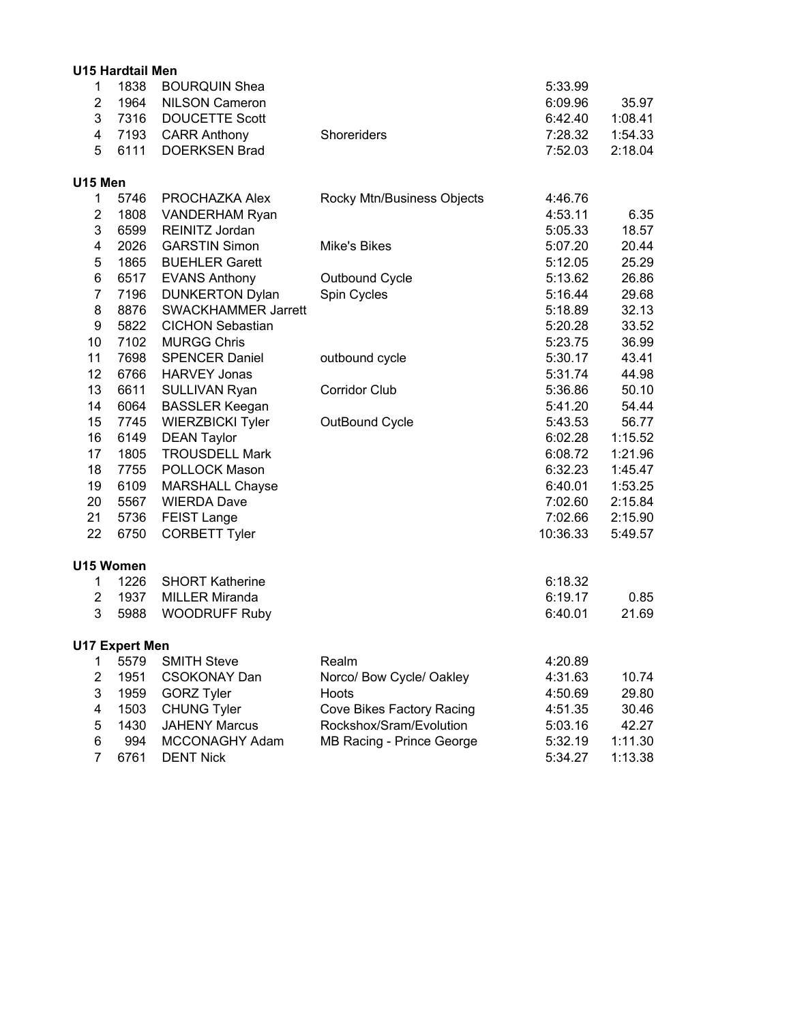|                         | <b>U15 Hardtail Men</b> |                            |                            |          |         |
|-------------------------|-------------------------|----------------------------|----------------------------|----------|---------|
| $\mathbf 1$             | 1838                    | <b>BOURQUIN Shea</b>       |                            | 5:33.99  |         |
| $\overline{2}$          | 1964                    | <b>NILSON Cameron</b>      |                            | 6:09.96  | 35.97   |
| 3                       | 7316                    | <b>DOUCETTE Scott</b>      |                            | 6:42.40  | 1:08.41 |
| 4                       | 7193                    | <b>CARR Anthony</b>        | Shoreriders                | 7:28.32  | 1:54.33 |
| 5                       | 6111                    | <b>DOERKSEN Brad</b>       |                            | 7:52.03  | 2:18.04 |
| U15 Men                 |                         |                            |                            |          |         |
| 1                       | 5746                    | PROCHAZKA Alex             | Rocky Mtn/Business Objects | 4:46.76  |         |
| $\overline{2}$          | 1808                    | <b>VANDERHAM Ryan</b>      |                            | 4:53.11  | 6.35    |
| 3                       | 6599                    | REINITZ Jordan             |                            | 5:05.33  | 18.57   |
| 4                       | 2026                    | <b>GARSTIN Simon</b>       | <b>Mike's Bikes</b>        | 5:07.20  | 20.44   |
| 5                       | 1865                    | <b>BUEHLER Garett</b>      |                            | 5:12.05  | 25.29   |
| 6                       | 6517                    | <b>EVANS Anthony</b>       | Outbound Cycle             | 5:13.62  | 26.86   |
| $\overline{7}$          | 7196                    | <b>DUNKERTON Dylan</b>     | Spin Cycles                | 5:16.44  | 29.68   |
| 8                       | 8876                    | <b>SWACKHAMMER Jarrett</b> |                            | 5:18.89  | 32.13   |
| 9                       | 5822                    | <b>CICHON Sebastian</b>    |                            | 5:20.28  | 33.52   |
| 10                      | 7102                    | <b>MURGG Chris</b>         |                            | 5:23.75  | 36.99   |
| 11                      | 7698                    | <b>SPENCER Daniel</b>      | outbound cycle             | 5:30.17  | 43.41   |
| 12                      | 6766                    | <b>HARVEY Jonas</b>        |                            | 5:31.74  | 44.98   |
| 13                      | 6611                    | SULLIVAN Ryan              | <b>Corridor Club</b>       | 5:36.86  | 50.10   |
| 14                      | 6064                    | <b>BASSLER Keegan</b>      |                            | 5:41.20  | 54.44   |
| 15                      | 7745                    | <b>WIERZBICKI Tyler</b>    | OutBound Cycle             | 5:43.53  | 56.77   |
| 16                      | 6149                    | <b>DEAN Taylor</b>         |                            | 6:02.28  | 1:15.52 |
| 17                      | 1805                    | <b>TROUSDELL Mark</b>      |                            | 6:08.72  | 1:21.96 |
| 18                      | 7755                    | POLLOCK Mason              |                            | 6:32.23  | 1:45.47 |
| 19                      | 6109                    | <b>MARSHALL Chayse</b>     |                            | 6:40.01  | 1:53.25 |
| 20                      | 5567                    | <b>WIERDA Dave</b>         |                            | 7:02.60  | 2:15.84 |
| 21                      | 5736                    | FEIST Lange                |                            | 7:02.66  | 2:15.90 |
| 22                      | 6750                    | <b>CORBETT Tyler</b>       |                            | 10:36.33 | 5:49.57 |
|                         | U15 Women               |                            |                            |          |         |
| $\mathbf 1$             | 1226                    | <b>SHORT Katherine</b>     |                            | 6:18.32  |         |
| $\overline{2}$          | 1937                    | <b>MILLER Miranda</b>      |                            | 6:19.17  | 0.85    |
| 3                       | 5988                    | <b>WOODRUFF Ruby</b>       |                            | 6:40.01  | 21.69   |
|                         | <b>U17 Expert Men</b>   |                            |                            |          |         |
| 1                       | 5579                    | <b>SMITH Steve</b>         | Realm                      | 4:20.89  |         |
| $\overline{\mathbf{c}}$ | 1951                    | <b>CSOKONAY Dan</b>        | Norco/ Bow Cycle/ Oakley   | 4:31.63  | 10.74   |
| 3                       | 1959                    | <b>GORZ Tyler</b>          | Hoots                      | 4:50.69  | 29.80   |
| 4                       | 1503                    | <b>CHUNG Tyler</b>         | Cove Bikes Factory Racing  | 4:51.35  | 30.46   |
| 5                       | 1430                    | <b>JAHENY Marcus</b>       | Rockshox/Sram/Evolution    | 5:03.16  | 42.27   |
| 6                       | 994                     | MCCONAGHY Adam             | MB Racing - Prince George  | 5:32.19  | 1:11.30 |
| $\overline{7}$          | 6761                    | <b>DENT Nick</b>           |                            | 5:34.27  | 1:13.38 |